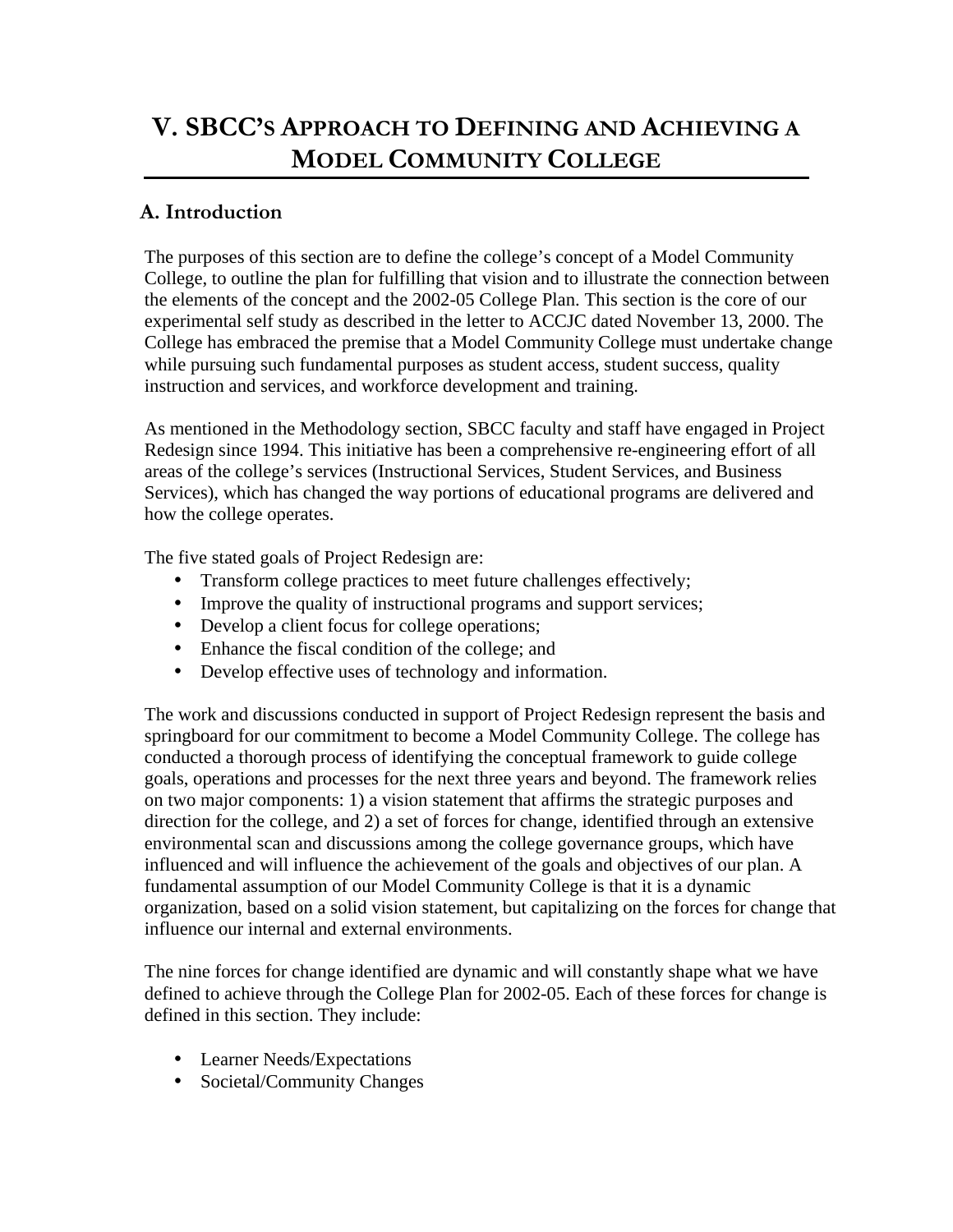# **V. SBCC'S APPROACH TO DEFINING AND ACHIEVING A MODEL COMMUNITY COLLEGE**

# **A. Introduction**

The purposes of this section are to define the college's concept of a Model Community College, to outline the plan for fulfilling that vision and to illustrate the connection between the elements of the concept and the 2002-05 College Plan. This section is the core of our experimental self study as described in the letter to ACCJC dated November 13, 2000. The College has embraced the premise that a Model Community College must undertake change while pursuing such fundamental purposes as student access, student success, quality instruction and services, and workforce development and training.

As mentioned in the Methodology section, SBCC faculty and staff have engaged in Project Redesign since 1994. This initiative has been a comprehensive re-engineering effort of all areas of the college's services (Instructional Services, Student Services, and Business Services), which has changed the way portions of educational programs are delivered and how the college operates.

The five stated goals of Project Redesign are:

- Transform college practices to meet future challenges effectively;
- Improve the quality of instructional programs and support services;
- Develop a client focus for college operations;
- Enhance the fiscal condition of the college; and
- Develop effective uses of technology and information.

The work and discussions conducted in support of Project Redesign represent the basis and springboard for our commitment to become a Model Community College. The college has conducted a thorough process of identifying the conceptual framework to guide college goals, operations and processes for the next three years and beyond. The framework relies on two major components: 1) a vision statement that affirms the strategic purposes and direction for the college, and 2) a set of forces for change, identified through an extensive environmental scan and discussions among the college governance groups, which have influenced and will influence the achievement of the goals and objectives of our plan. A fundamental assumption of our Model Community College is that it is a dynamic organization, based on a solid vision statement, but capitalizing on the forces for change that influence our internal and external environments.

The nine forces for change identified are dynamic and will constantly shape what we have defined to achieve through the College Plan for 2002-05. Each of these forces for change is defined in this section. They include:

- Learner Needs/Expectations
- Societal/Community Changes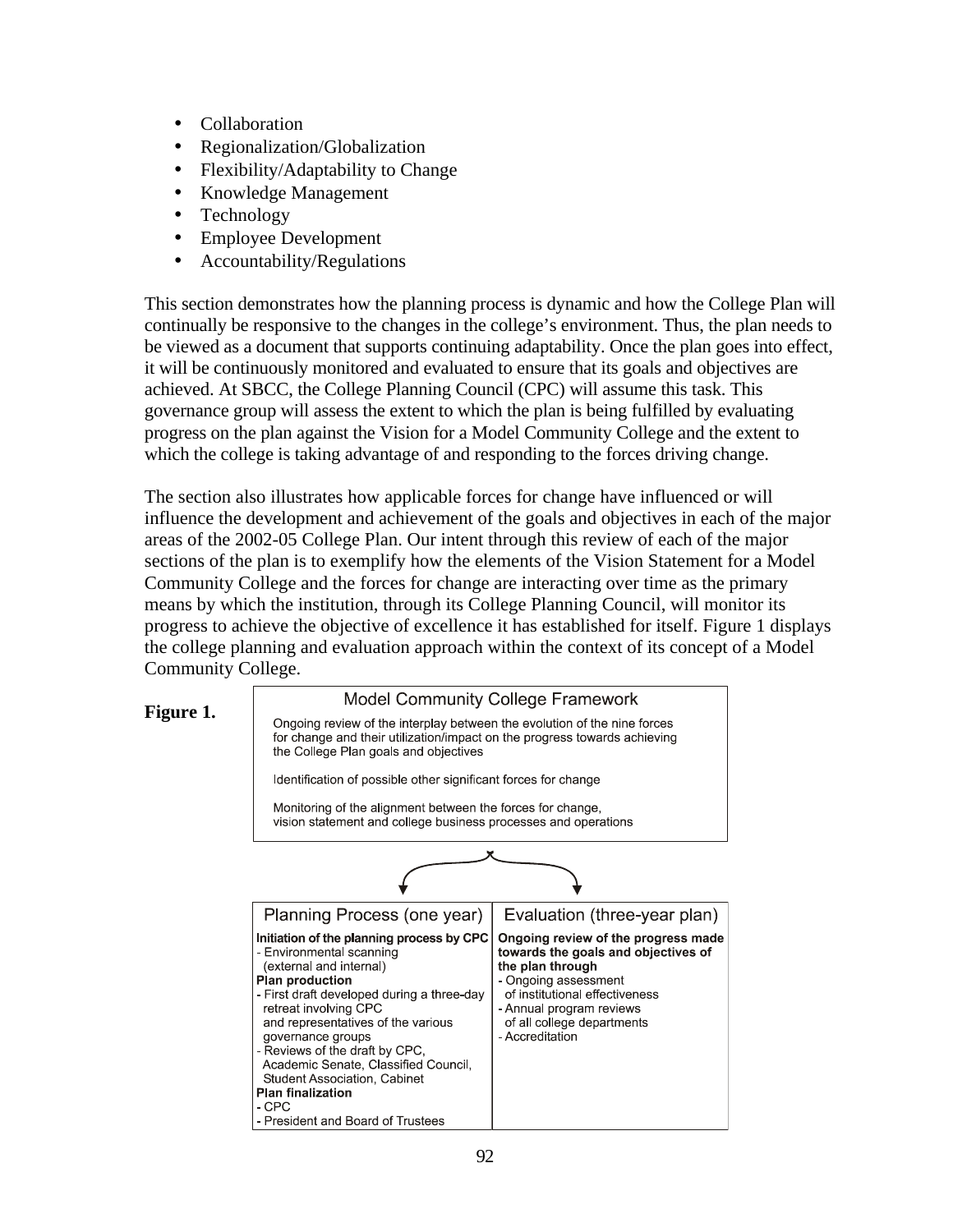- Collaboration
- Regionalization/Globalization
- Flexibility/Adaptability to Change
- Knowledge Management
- Technology
- Employee Development
- Accountability/Regulations

This section demonstrates how the planning process is dynamic and how the College Plan will continually be responsive to the changes in the college's environment. Thus, the plan needs to be viewed as a document that supports continuing adaptability. Once the plan goes into effect, it will be continuously monitored and evaluated to ensure that its goals and objectives are achieved. At SBCC, the College Planning Council (CPC) will assume this task. This governance group will assess the extent to which the plan is being fulfilled by evaluating progress on the plan against the Vision for a Model Community College and the extent to which the college is taking advantage of and responding to the forces driving change.

The section also illustrates how applicable forces for change have influenced or will influence the development and achievement of the goals and objectives in each of the major areas of the 2002-05 College Plan. Our intent through this review of each of the major sections of the plan is to exemplify how the elements of the Vision Statement for a Model Community College and the forces for change are interacting over time as the primary means by which the institution, through its College Planning Council, will monitor its progress to achieve the objective of excellence it has established for itself. Figure 1 displays the college planning and evaluation approach within the context of its concept of a Model Community College.

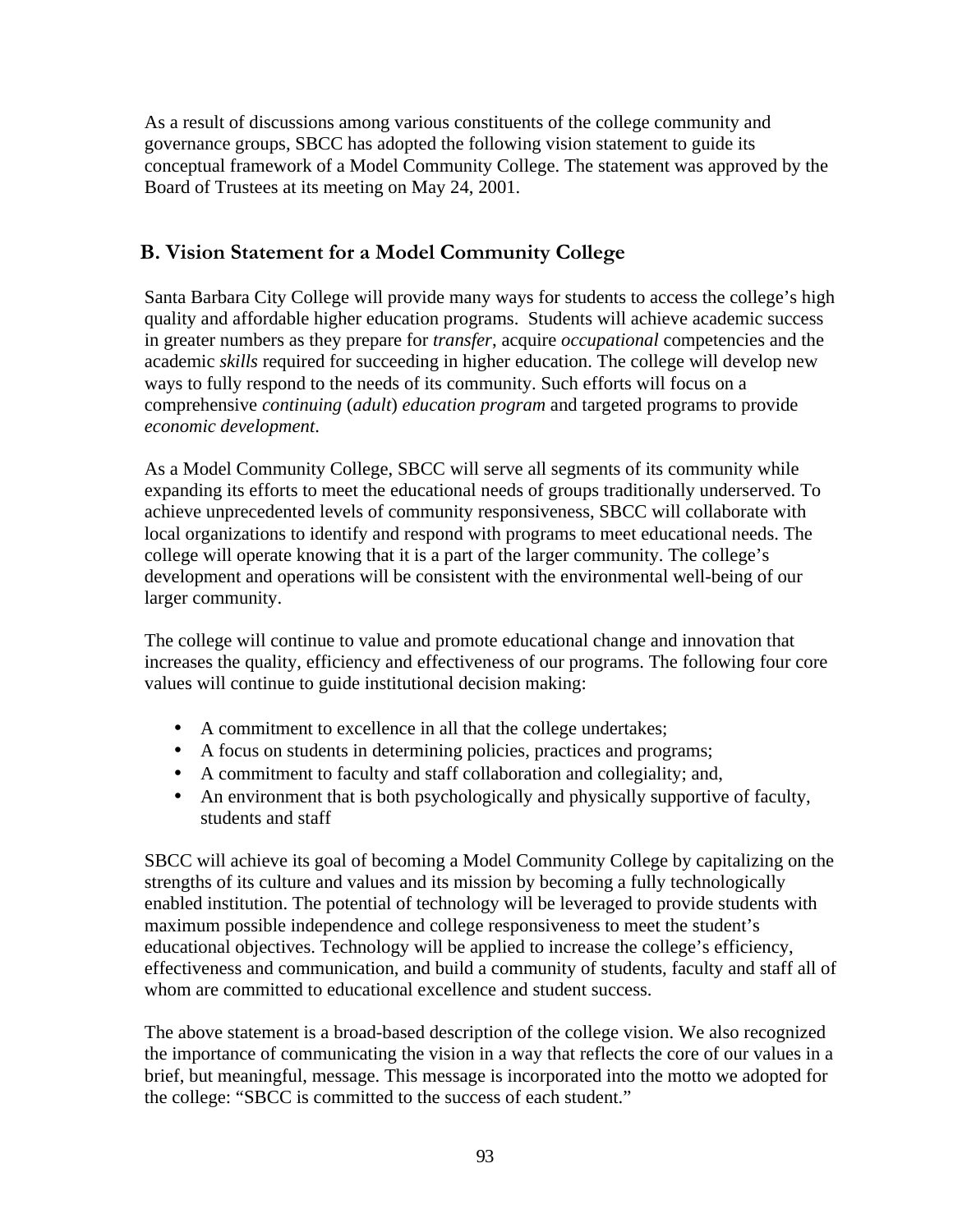As a result of discussions among various constituents of the college community and governance groups, SBCC has adopted the following vision statement to guide its conceptual framework of a Model Community College. The statement was approved by the Board of Trustees at its meeting on May 24, 2001.

# **B. Vision Statement for a Model Community College**

Santa Barbara City College will provide many ways for students to access the college's high quality and affordable higher education programs. Students will achieve academic success in greater numbers as they prepare for *transfer*, acquire *occupational* competencies and the academic *skills* required for succeeding in higher education. The college will develop new ways to fully respond to the needs of its community. Such efforts will focus on a comprehensive *continuing* (*adult*) *education program* and targeted programs to provide *economic development*.

As a Model Community College, SBCC will serve all segments of its community while expanding its efforts to meet the educational needs of groups traditionally underserved. To achieve unprecedented levels of community responsiveness, SBCC will collaborate with local organizations to identify and respond with programs to meet educational needs. The college will operate knowing that it is a part of the larger community. The college's development and operations will be consistent with the environmental well-being of our larger community.

The college will continue to value and promote educational change and innovation that increases the quality, efficiency and effectiveness of our programs. The following four core values will continue to guide institutional decision making:

- A commitment to excellence in all that the college undertakes;
- A focus on students in determining policies, practices and programs;
- A commitment to faculty and staff collaboration and collegiality; and,
- An environment that is both psychologically and physically supportive of faculty, students and staff

SBCC will achieve its goal of becoming a Model Community College by capitalizing on the strengths of its culture and values and its mission by becoming a fully technologically enabled institution. The potential of technology will be leveraged to provide students with maximum possible independence and college responsiveness to meet the student's educational objectives. Technology will be applied to increase the college's efficiency, effectiveness and communication, and build a community of students, faculty and staff all of whom are committed to educational excellence and student success.

The above statement is a broad-based description of the college vision. We also recognized the importance of communicating the vision in a way that reflects the core of our values in a brief, but meaningful, message. This message is incorporated into the motto we adopted for the college: "SBCC is committed to the success of each student."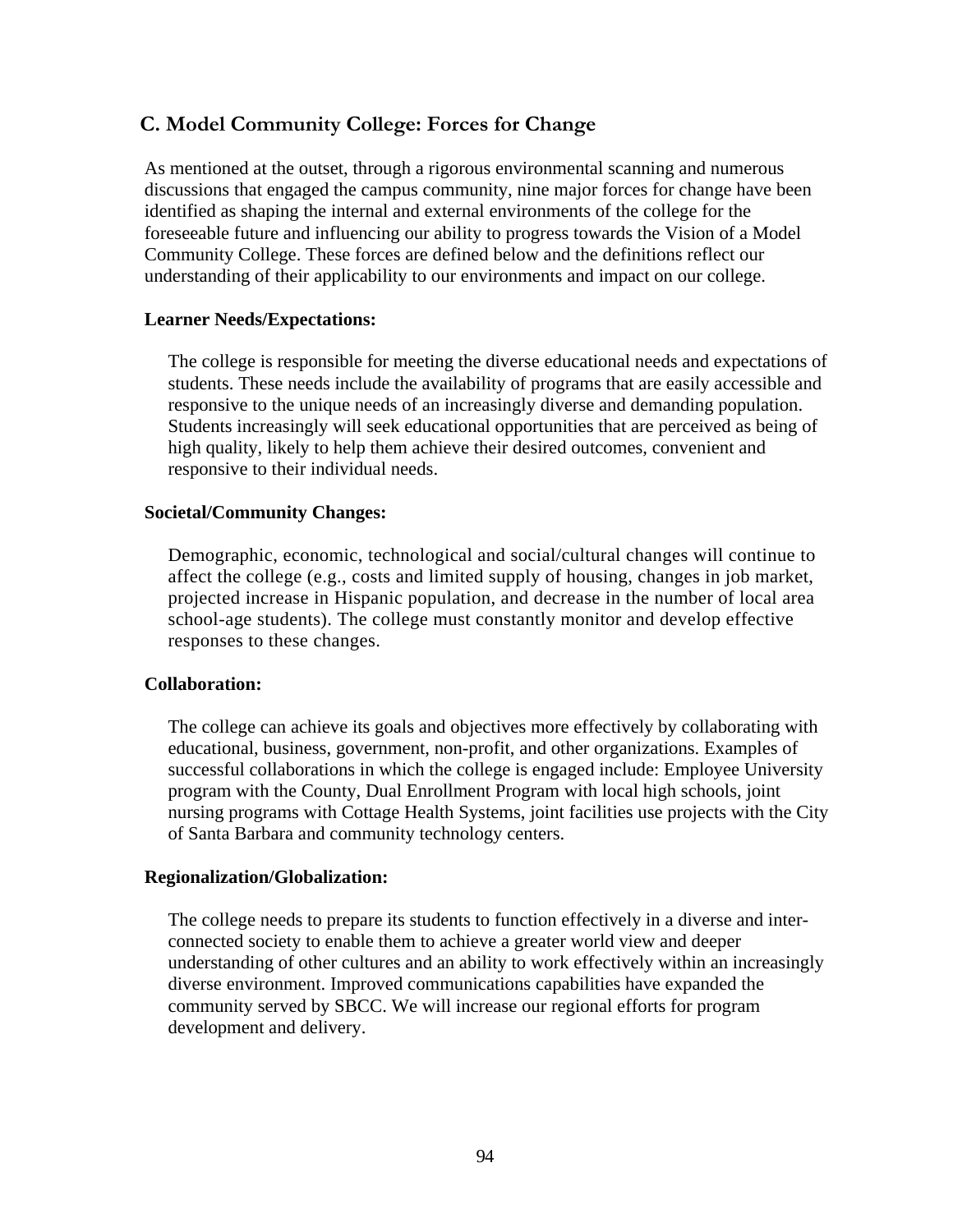# **C. Model Community College: Forces for Change**

As mentioned at the outset, through a rigorous environmental scanning and numerous discussions that engaged the campus community, nine major forces for change have been identified as shaping the internal and external environments of the college for the foreseeable future and influencing our ability to progress towards the Vision of a Model Community College. These forces are defined below and the definitions reflect our understanding of their applicability to our environments and impact on our college.

#### **Learner Needs/Expectations:**

The college is responsible for meeting the diverse educational needs and expectations of students. These needs include the availability of programs that are easily accessible and responsive to the unique needs of an increasingly diverse and demanding population. Students increasingly will seek educational opportunities that are perceived as being of high quality, likely to help them achieve their desired outcomes, convenient and responsive to their individual needs.

#### **Societal/Community Changes:**

Demographic, economic, technological and social/cultural changes will continue to affect the college (e.g., costs and limited supply of housing, changes in job market, projected increase in Hispanic population, and decrease in the number of local area school-age students). The college must constantly monitor and develop effective responses to these changes.

#### **Collaboration:**

The college can achieve its goals and objectives more effectively by collaborating with educational, business, government, non-profit, and other organizations. Examples of successful collaborations in which the college is engaged include: Employee University program with the County, Dual Enrollment Program with local high schools, joint nursing programs with Cottage Health Systems, joint facilities use projects with the City of Santa Barbara and community technology centers.

#### **Regionalization/Globalization:**

The college needs to prepare its students to function effectively in a diverse and interconnected society to enable them to achieve a greater world view and deeper understanding of other cultures and an ability to work effectively within an increasingly diverse environment. Improved communications capabilities have expanded the community served by SBCC. We will increase our regional efforts for program development and delivery.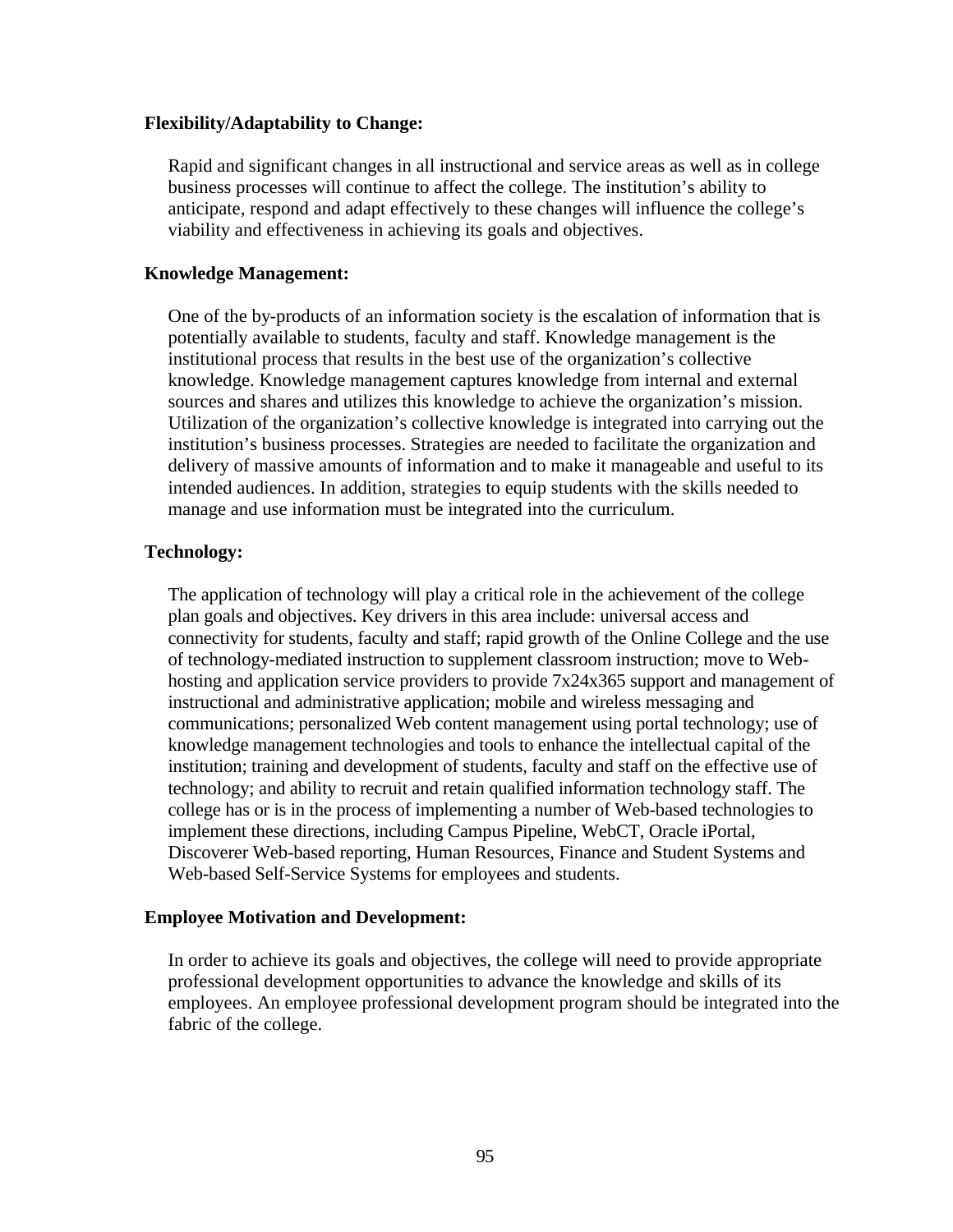#### **Flexibility/Adaptability to Change:**

Rapid and significant changes in all instructional and service areas as well as in college business processes will continue to affect the college. The institution's ability to anticipate, respond and adapt effectively to these changes will influence the college's viability and effectiveness in achieving its goals and objectives.

#### **Knowledge Management:**

One of the by-products of an information society is the escalation of information that is potentially available to students, faculty and staff. Knowledge management is the institutional process that results in the best use of the organization's collective knowledge. Knowledge management captures knowledge from internal and external sources and shares and utilizes this knowledge to achieve the organization's mission. Utilization of the organization's collective knowledge is integrated into carrying out the institution's business processes. Strategies are needed to facilitate the organization and delivery of massive amounts of information and to make it manageable and useful to its intended audiences. In addition, strategies to equip students with the skills needed to manage and use information must be integrated into the curriculum.

#### **Technology:**

The application of technology will play a critical role in the achievement of the college plan goals and objectives. Key drivers in this area include: universal access and connectivity for students, faculty and staff; rapid growth of the Online College and the use of technology-mediated instruction to supplement classroom instruction; move to Webhosting and application service providers to provide 7x24x365 support and management of instructional and administrative application; mobile and wireless messaging and communications; personalized Web content management using portal technology; use of knowledge management technologies and tools to enhance the intellectual capital of the institution; training and development of students, faculty and staff on the effective use of technology; and ability to recruit and retain qualified information technology staff. The college has or is in the process of implementing a number of Web-based technologies to implement these directions, including Campus Pipeline, WebCT, Oracle iPortal, Discoverer Web-based reporting, Human Resources, Finance and Student Systems and Web-based Self-Service Systems for employees and students.

#### **Employee Motivation and Development:**

In order to achieve its goals and objectives, the college will need to provide appropriate professional development opportunities to advance the knowledge and skills of its employees. An employee professional development program should be integrated into the fabric of the college.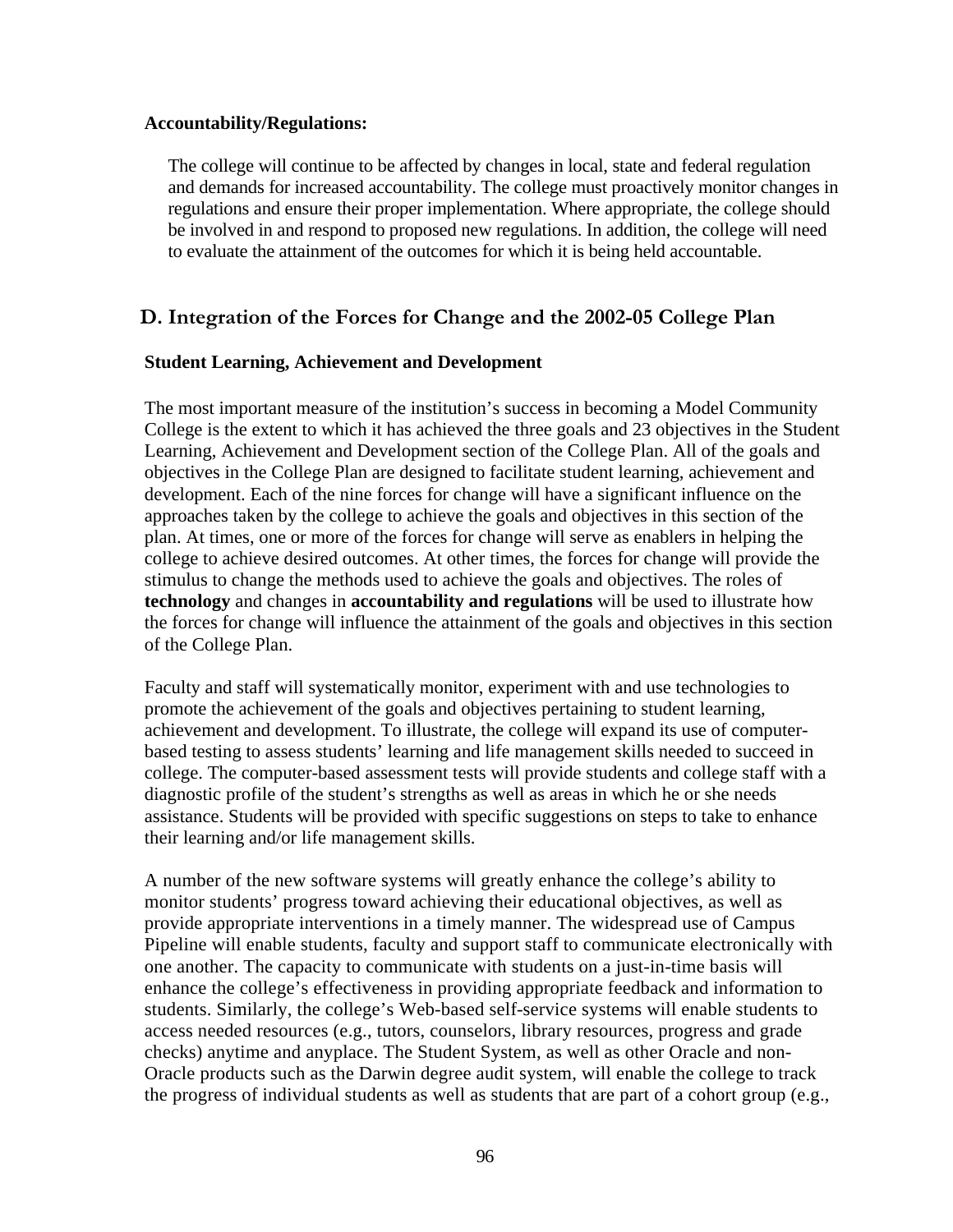#### **Accountability/Regulations:**

The college will continue to be affected by changes in local, state and federal regulation and demands for increased accountability. The college must proactively monitor changes in regulations and ensure their proper implementation. Where appropriate, the college should be involved in and respond to proposed new regulations. In addition, the college will need to evaluate the attainment of the outcomes for which it is being held accountable.

# **D. Integration of the Forces for Change and the 2002-05 College Plan**

### **Student Learning, Achievement and Development**

The most important measure of the institution's success in becoming a Model Community College is the extent to which it has achieved the three goals and 23 objectives in the Student Learning, Achievement and Development section of the College Plan. All of the goals and objectives in the College Plan are designed to facilitate student learning, achievement and development. Each of the nine forces for change will have a significant influence on the approaches taken by the college to achieve the goals and objectives in this section of the plan. At times, one or more of the forces for change will serve as enablers in helping the college to achieve desired outcomes. At other times, the forces for change will provide the stimulus to change the methods used to achieve the goals and objectives. The roles of **technology** and changes in **accountability and regulations** will be used to illustrate how the forces for change will influence the attainment of the goals and objectives in this section of the College Plan.

Faculty and staff will systematically monitor, experiment with and use technologies to promote the achievement of the goals and objectives pertaining to student learning, achievement and development. To illustrate, the college will expand its use of computerbased testing to assess students' learning and life management skills needed to succeed in college. The computer-based assessment tests will provide students and college staff with a diagnostic profile of the student's strengths as well as areas in which he or she needs assistance. Students will be provided with specific suggestions on steps to take to enhance their learning and/or life management skills.

A number of the new software systems will greatly enhance the college's ability to monitor students' progress toward achieving their educational objectives, as well as provide appropriate interventions in a timely manner. The widespread use of Campus Pipeline will enable students, faculty and support staff to communicate electronically with one another. The capacity to communicate with students on a just-in-time basis will enhance the college's effectiveness in providing appropriate feedback and information to students. Similarly, the college's Web-based self-service systems will enable students to access needed resources (e.g., tutors, counselors, library resources, progress and grade checks) anytime and anyplace. The Student System, as well as other Oracle and non-Oracle products such as the Darwin degree audit system, will enable the college to track the progress of individual students as well as students that are part of a cohort group (e.g.,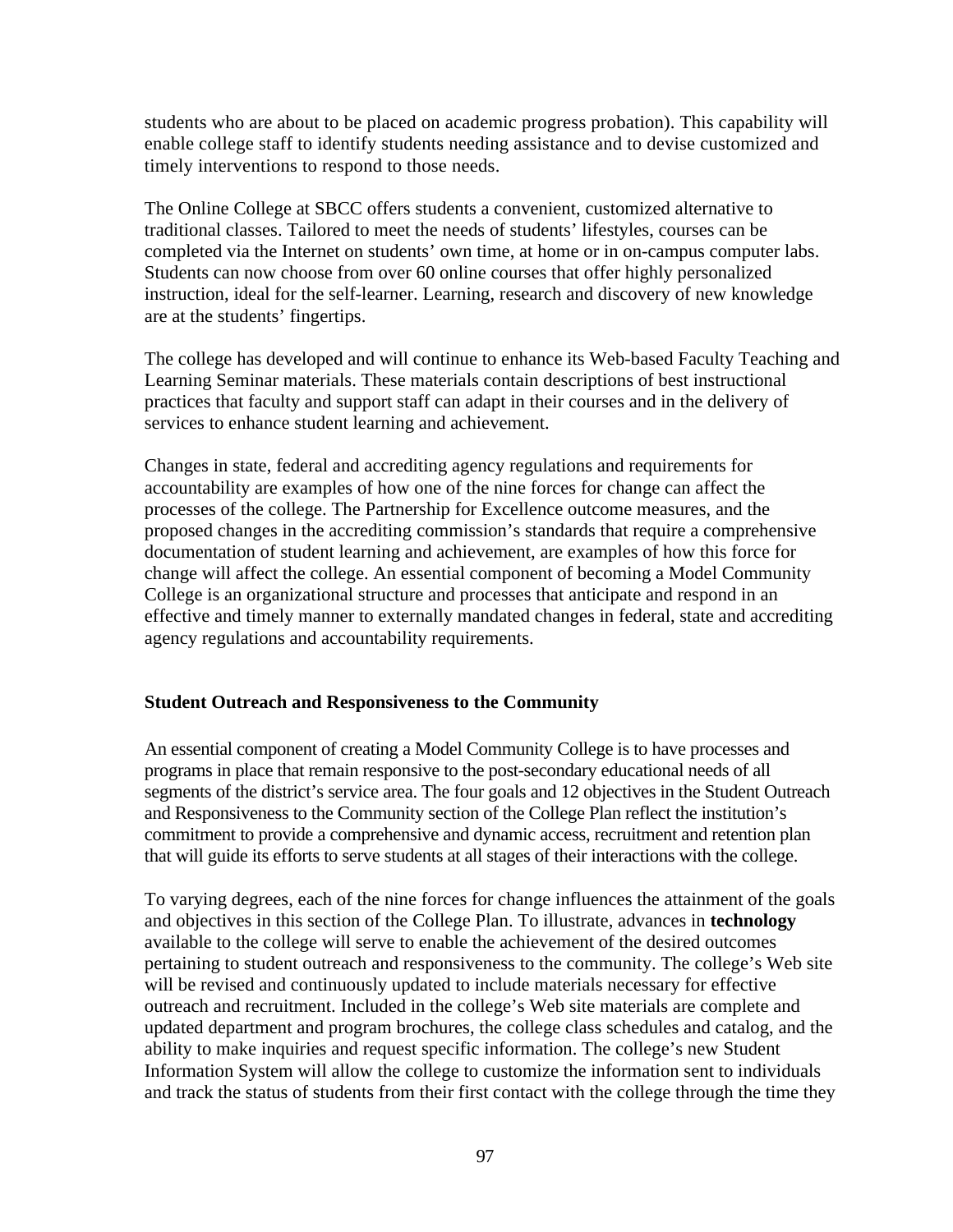students who are about to be placed on academic progress probation). This capability will enable college staff to identify students needing assistance and to devise customized and timely interventions to respond to those needs.

The Online College at SBCC offers students a convenient, customized alternative to traditional classes. Tailored to meet the needs of students' lifestyles, courses can be completed via the Internet on students' own time, at home or in on-campus computer labs. Students can now choose from over 60 online courses that offer highly personalized instruction, ideal for the self-learner. Learning, research and discovery of new knowledge are at the students' fingertips.

The college has developed and will continue to enhance its Web-based Faculty Teaching and Learning Seminar materials. These materials contain descriptions of best instructional practices that faculty and support staff can adapt in their courses and in the delivery of services to enhance student learning and achievement.

Changes in state, federal and accrediting agency regulations and requirements for accountability are examples of how one of the nine forces for change can affect the processes of the college. The Partnership for Excellence outcome measures, and the proposed changes in the accrediting commission's standards that require a comprehensive documentation of student learning and achievement, are examples of how this force for change will affect the college. An essential component of becoming a Model Community College is an organizational structure and processes that anticipate and respond in an effective and timely manner to externally mandated changes in federal, state and accrediting agency regulations and accountability requirements.

#### **Student Outreach and Responsiveness to the Community**

An essential component of creating a Model Community College is to have processes and programs in place that remain responsive to the post-secondary educational needs of all segments of the district's service area. The four goals and 12 objectives in the Student Outreach and Responsiveness to the Community section of the College Plan reflect the institution's commitment to provide a comprehensive and dynamic access, recruitment and retention plan that will guide its efforts to serve students at all stages of their interactions with the college.

To varying degrees, each of the nine forces for change influences the attainment of the goals and objectives in this section of the College Plan. To illustrate, advances in **technology**  available to the college will serve to enable the achievement of the desired outcomes pertaining to student outreach and responsiveness to the community. The college's Web site will be revised and continuously updated to include materials necessary for effective outreach and recruitment. Included in the college's Web site materials are complete and updated department and program brochures, the college class schedules and catalog, and the ability to make inquiries and request specific information. The college's new Student Information System will allow the college to customize the information sent to individuals and track the status of students from their first contact with the college through the time they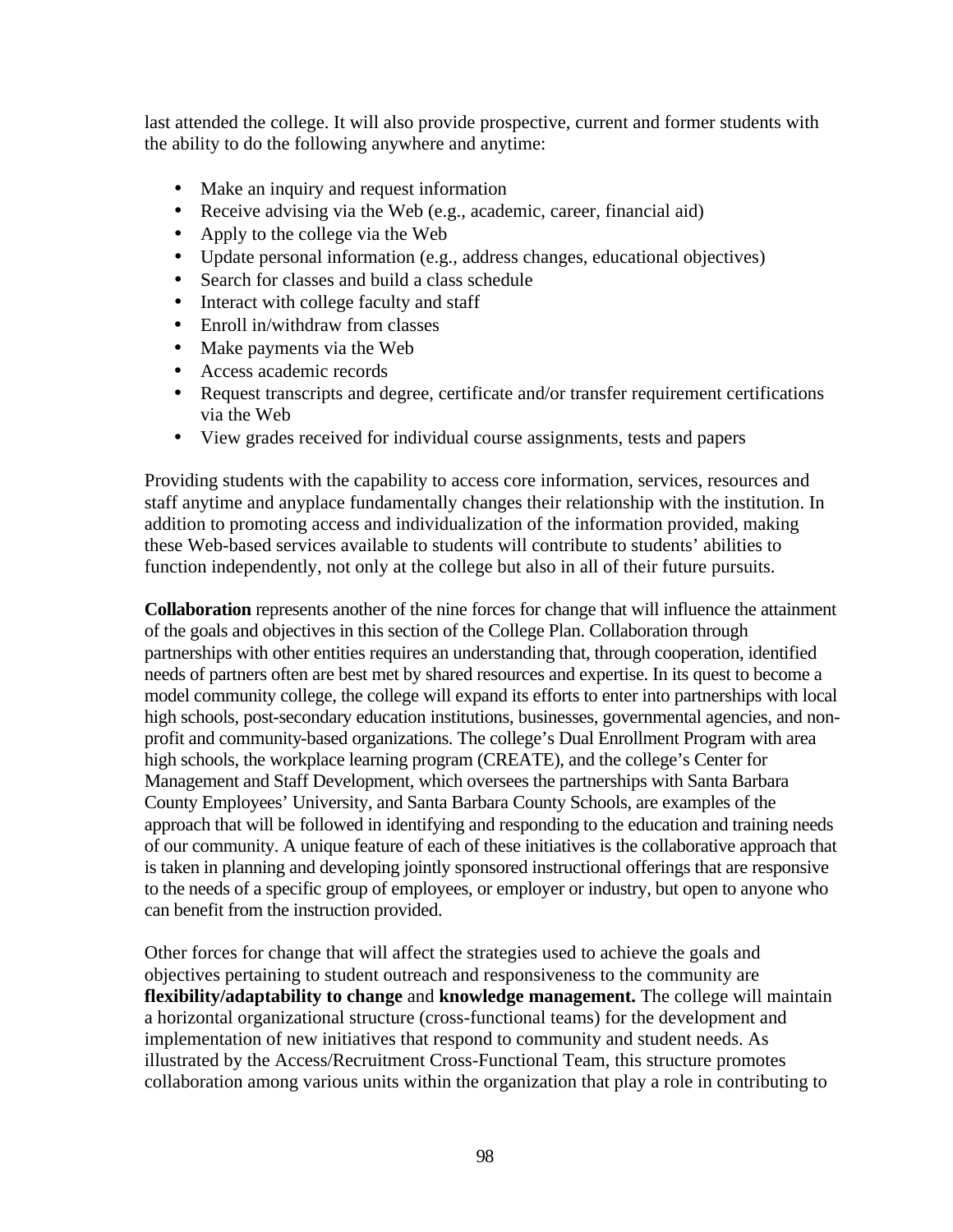last attended the college. It will also provide prospective, current and former students with the ability to do the following anywhere and anytime:

- Make an inquiry and request information
- Receive advising via the Web (e.g., academic, career, financial aid)
- Apply to the college via the Web
- Update personal information (e.g., address changes, educational objectives)
- Search for classes and build a class schedule
- Interact with college faculty and staff
- Enroll in/withdraw from classes
- Make payments via the Web
- Access academic records
- Request transcripts and degree, certificate and/or transfer requirement certifications via the Web
- View grades received for individual course assignments, tests and papers

Providing students with the capability to access core information, services, resources and staff anytime and anyplace fundamentally changes their relationship with the institution. In addition to promoting access and individualization of the information provided, making these Web-based services available to students will contribute to students' abilities to function independently, not only at the college but also in all of their future pursuits.

**Collaboration** represents another of the nine forces for change that will influence the attainment of the goals and objectives in this section of the College Plan. Collaboration through partnerships with other entities requires an understanding that, through cooperation, identified needs of partners often are best met by shared resources and expertise. In its quest to become a model community college, the college will expand its efforts to enter into partnerships with local high schools, post-secondary education institutions, businesses, governmental agencies, and nonprofit and community-based organizations. The college's Dual Enrollment Program with area high schools, the workplace learning program (CREATE), and the college's Center for Management and Staff Development, which oversees the partnerships with Santa Barbara County Employees' University, and Santa Barbara County Schools, are examples of the approach that will be followed in identifying and responding to the education and training needs of our community. A unique feature of each of these initiatives is the collaborative approach that is taken in planning and developing jointly sponsored instructional offerings that are responsive to the needs of a specific group of employees, or employer or industry, but open to anyone who can benefit from the instruction provided.

Other forces for change that will affect the strategies used to achieve the goals and objectives pertaining to student outreach and responsiveness to the community are **flexibility/adaptability to change** and **knowledge management.** The college will maintain a horizontal organizational structure (cross-functional teams) for the development and implementation of new initiatives that respond to community and student needs. As illustrated by the Access/Recruitment Cross-Functional Team, this structure promotes collaboration among various units within the organization that play a role in contributing to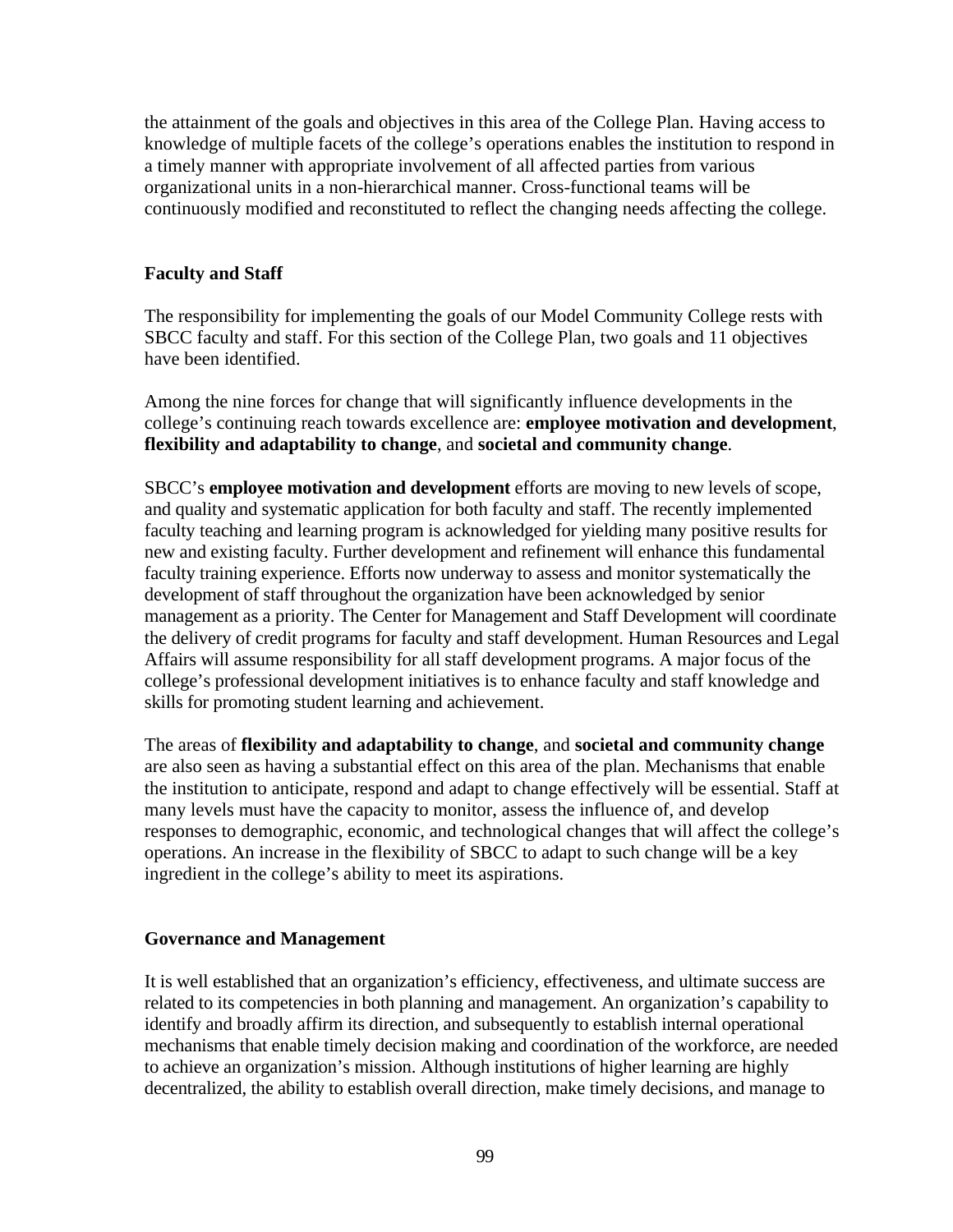the attainment of the goals and objectives in this area of the College Plan. Having access to knowledge of multiple facets of the college's operations enables the institution to respond in a timely manner with appropriate involvement of all affected parties from various organizational units in a non-hierarchical manner. Cross-functional teams will be continuously modified and reconstituted to reflect the changing needs affecting the college.

## **Faculty and Staff**

The responsibility for implementing the goals of our Model Community College rests with SBCC faculty and staff. For this section of the College Plan, two goals and 11 objectives have been identified.

Among the nine forces for change that will significantly influence developments in the college's continuing reach towards excellence are: **employee motivation and development**, **flexibility and adaptability to change**, and **societal and community change**.

SBCC's **employee motivation and development** efforts are moving to new levels of scope, and quality and systematic application for both faculty and staff. The recently implemented faculty teaching and learning program is acknowledged for yielding many positive results for new and existing faculty. Further development and refinement will enhance this fundamental faculty training experience. Efforts now underway to assess and monitor systematically the development of staff throughout the organization have been acknowledged by senior management as a priority. The Center for Management and Staff Development will coordinate the delivery of credit programs for faculty and staff development. Human Resources and Legal Affairs will assume responsibility for all staff development programs. A major focus of the college's professional development initiatives is to enhance faculty and staff knowledge and skills for promoting student learning and achievement.

The areas of **flexibility and adaptability to change**, and **societal and community change** are also seen as having a substantial effect on this area of the plan. Mechanisms that enable the institution to anticipate, respond and adapt to change effectively will be essential. Staff at many levels must have the capacity to monitor, assess the influence of, and develop responses to demographic, economic, and technological changes that will affect the college's operations. An increase in the flexibility of SBCC to adapt to such change will be a key ingredient in the college's ability to meet its aspirations.

## **Governance and Management**

It is well established that an organization's efficiency, effectiveness, and ultimate success are related to its competencies in both planning and management. An organization's capability to identify and broadly affirm its direction, and subsequently to establish internal operational mechanisms that enable timely decision making and coordination of the workforce, are needed to achieve an organization's mission. Although institutions of higher learning are highly decentralized, the ability to establish overall direction, make timely decisions, and manage to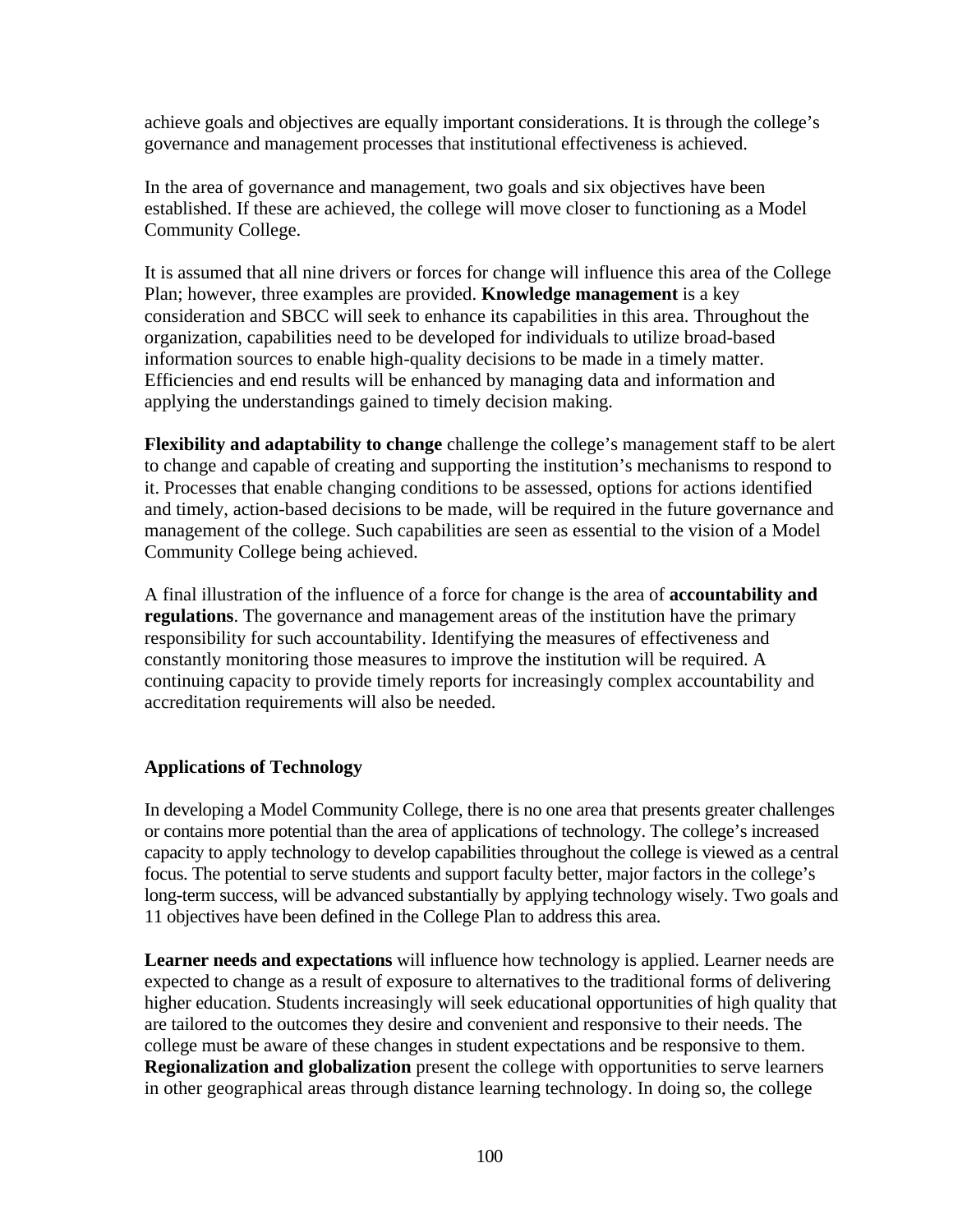achieve goals and objectives are equally important considerations. It is through the college's governance and management processes that institutional effectiveness is achieved.

In the area of governance and management, two goals and six objectives have been established. If these are achieved, the college will move closer to functioning as a Model Community College.

It is assumed that all nine drivers or forces for change will influence this area of the College Plan; however, three examples are provided. **Knowledge management** is a key consideration and SBCC will seek to enhance its capabilities in this area. Throughout the organization, capabilities need to be developed for individuals to utilize broad-based information sources to enable high-quality decisions to be made in a timely matter. Efficiencies and end results will be enhanced by managing data and information and applying the understandings gained to timely decision making.

**Flexibility and adaptability to change** challenge the college's management staff to be alert to change and capable of creating and supporting the institution's mechanisms to respond to it. Processes that enable changing conditions to be assessed, options for actions identified and timely, action-based decisions to be made, will be required in the future governance and management of the college. Such capabilities are seen as essential to the vision of a Model Community College being achieved.

A final illustration of the influence of a force for change is the area of **accountability and regulations**. The governance and management areas of the institution have the primary responsibility for such accountability. Identifying the measures of effectiveness and constantly monitoring those measures to improve the institution will be required. A continuing capacity to provide timely reports for increasingly complex accountability and accreditation requirements will also be needed.

## **Applications of Technology**

In developing a Model Community College, there is no one area that presents greater challenges or contains more potential than the area of applications of technology. The college's increased capacity to apply technology to develop capabilities throughout the college is viewed as a central focus. The potential to serve students and support faculty better, major factors in the college's long-term success, will be advanced substantially by applying technology wisely. Two goals and 11 objectives have been defined in the College Plan to address this area.

**Learner needs and expectations** will influence how technology is applied. Learner needs are expected to change as a result of exposure to alternatives to the traditional forms of delivering higher education. Students increasingly will seek educational opportunities of high quality that are tailored to the outcomes they desire and convenient and responsive to their needs. The college must be aware of these changes in student expectations and be responsive to them. **Regionalization and globalization** present the college with opportunities to serve learners in other geographical areas through distance learning technology. In doing so, the college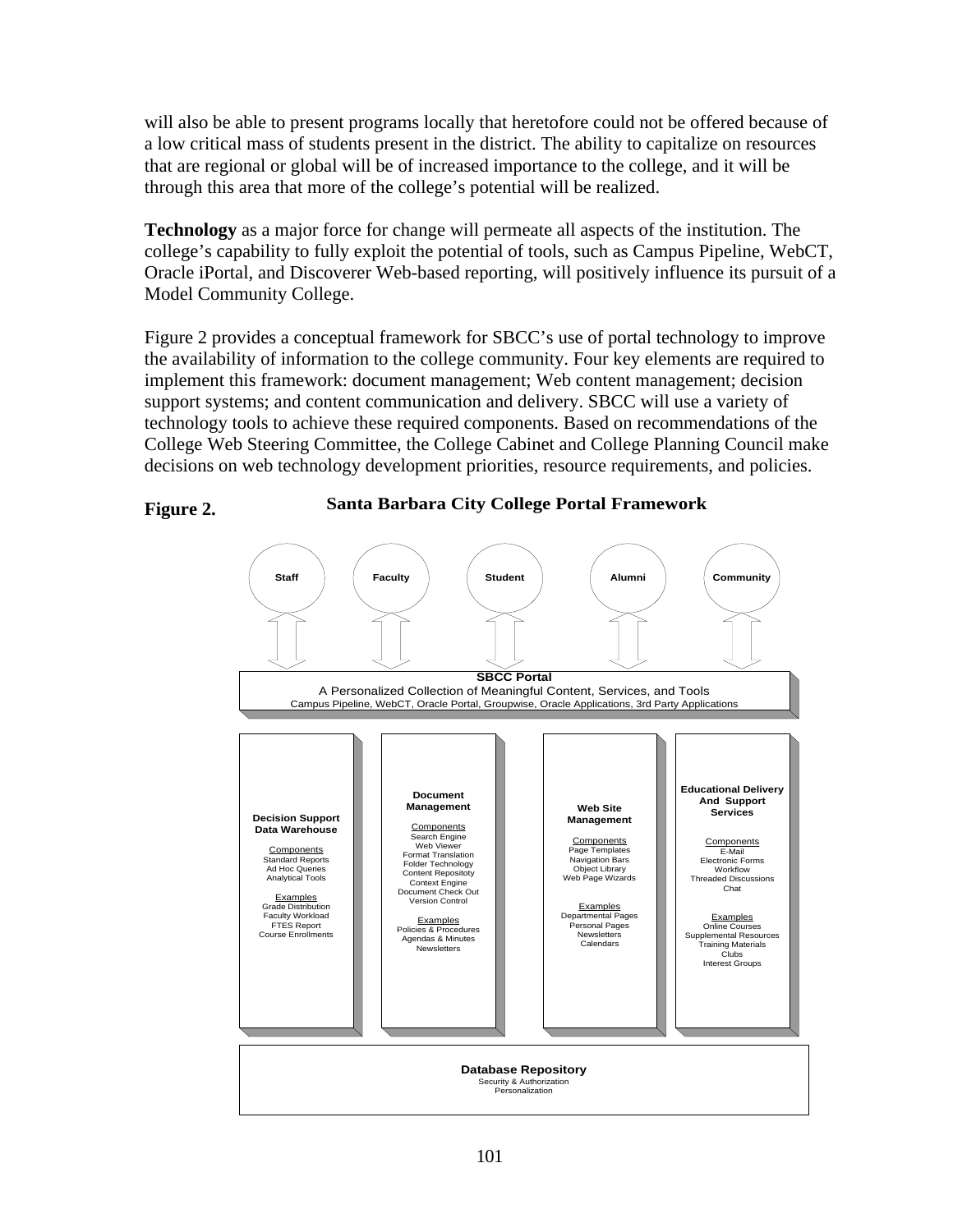will also be able to present programs locally that heretofore could not be offered because of a low critical mass of students present in the district. The ability to capitalize on resources that are regional or global will be of increased importance to the college, and it will be through this area that more of the college's potential will be realized.

**Technology** as a major force for change will permeate all aspects of the institution. The college's capability to fully exploit the potential of tools, such as Campus Pipeline, WebCT, Oracle iPortal, and Discoverer Web-based reporting, will positively influence its pursuit of a Model Community College.

Figure 2 provides a conceptual framework for SBCC's use of portal technology to improve the availability of information to the college community. Four key elements are required to implement this framework: document management; Web content management; decision support systems; and content communication and delivery. SBCC will use a variety of technology tools to achieve these required components. Based on recommendations of the College Web Steering Committee, the College Cabinet and College Planning Council make decisions on web technology development priorities, resource requirements, and policies.



**Santa Barbara City College Portal Framework**

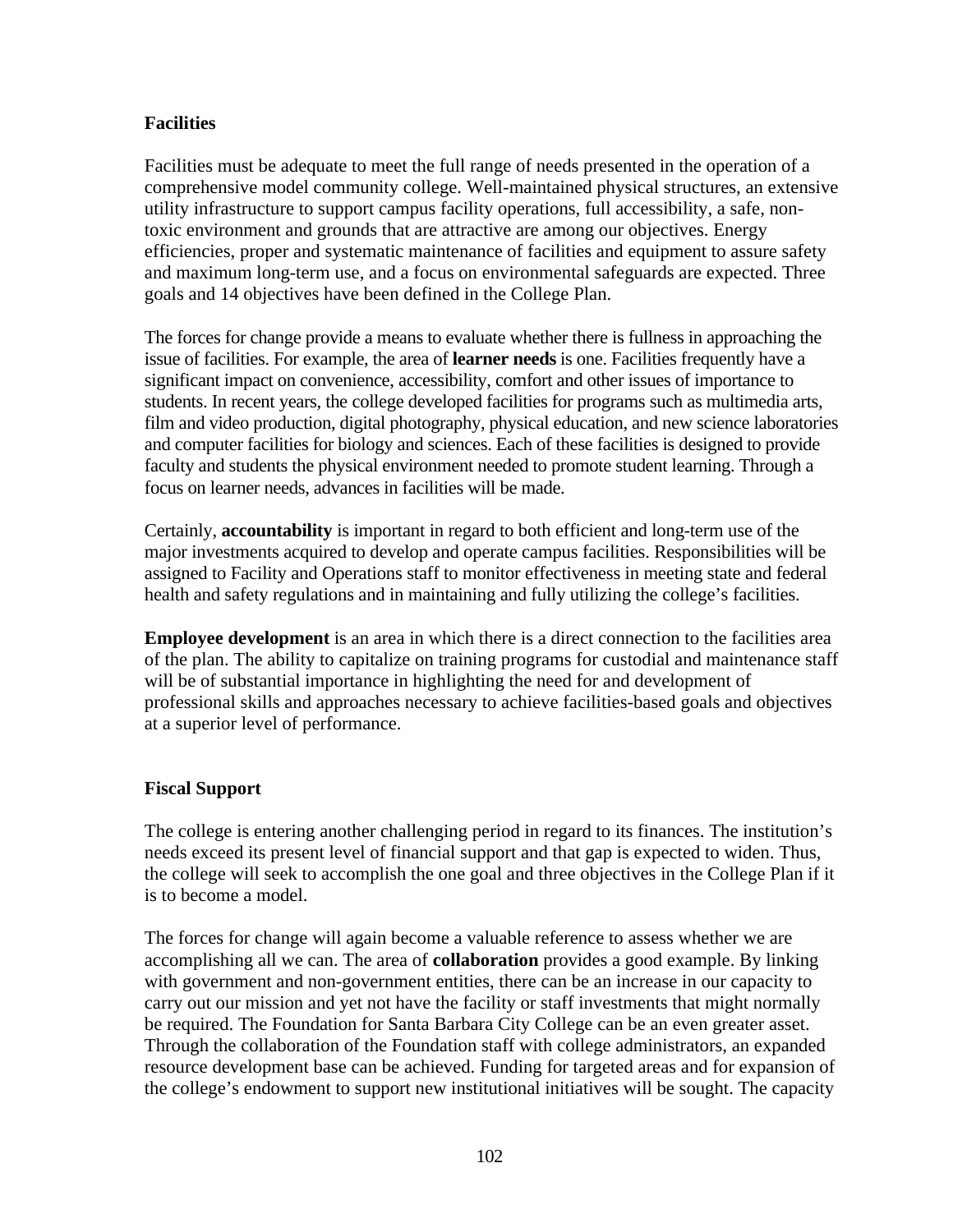### **Facilities**

Facilities must be adequate to meet the full range of needs presented in the operation of a comprehensive model community college. Well-maintained physical structures, an extensive utility infrastructure to support campus facility operations, full accessibility, a safe, nontoxic environment and grounds that are attractive are among our objectives. Energy efficiencies, proper and systematic maintenance of facilities and equipment to assure safety and maximum long-term use, and a focus on environmental safeguards are expected. Three goals and 14 objectives have been defined in the College Plan.

The forces for change provide a means to evaluate whether there is fullness in approaching the issue of facilities. For example, the area of **learner needs** is one. Facilities frequently have a significant impact on convenience, accessibility, comfort and other issues of importance to students. In recent years, the college developed facilities for programs such as multimedia arts, film and video production, digital photography, physical education, and new science laboratories and computer facilities for biology and sciences. Each of these facilities is designed to provide faculty and students the physical environment needed to promote student learning. Through a focus on learner needs, advances in facilities will be made.

Certainly, **accountability** is important in regard to both efficient and long-term use of the major investments acquired to develop and operate campus facilities. Responsibilities will be assigned to Facility and Operations staff to monitor effectiveness in meeting state and federal health and safety regulations and in maintaining and fully utilizing the college's facilities.

**Employee development** is an area in which there is a direct connection to the facilities area of the plan. The ability to capitalize on training programs for custodial and maintenance staff will be of substantial importance in highlighting the need for and development of professional skills and approaches necessary to achieve facilities-based goals and objectives at a superior level of performance.

## **Fiscal Support**

The college is entering another challenging period in regard to its finances. The institution's needs exceed its present level of financial support and that gap is expected to widen. Thus, the college will seek to accomplish the one goal and three objectives in the College Plan if it is to become a model.

The forces for change will again become a valuable reference to assess whether we are accomplishing all we can. The area of **collaboration** provides a good example. By linking with government and non-government entities, there can be an increase in our capacity to carry out our mission and yet not have the facility or staff investments that might normally be required. The Foundation for Santa Barbara City College can be an even greater asset. Through the collaboration of the Foundation staff with college administrators, an expanded resource development base can be achieved. Funding for targeted areas and for expansion of the college's endowment to support new institutional initiatives will be sought. The capacity